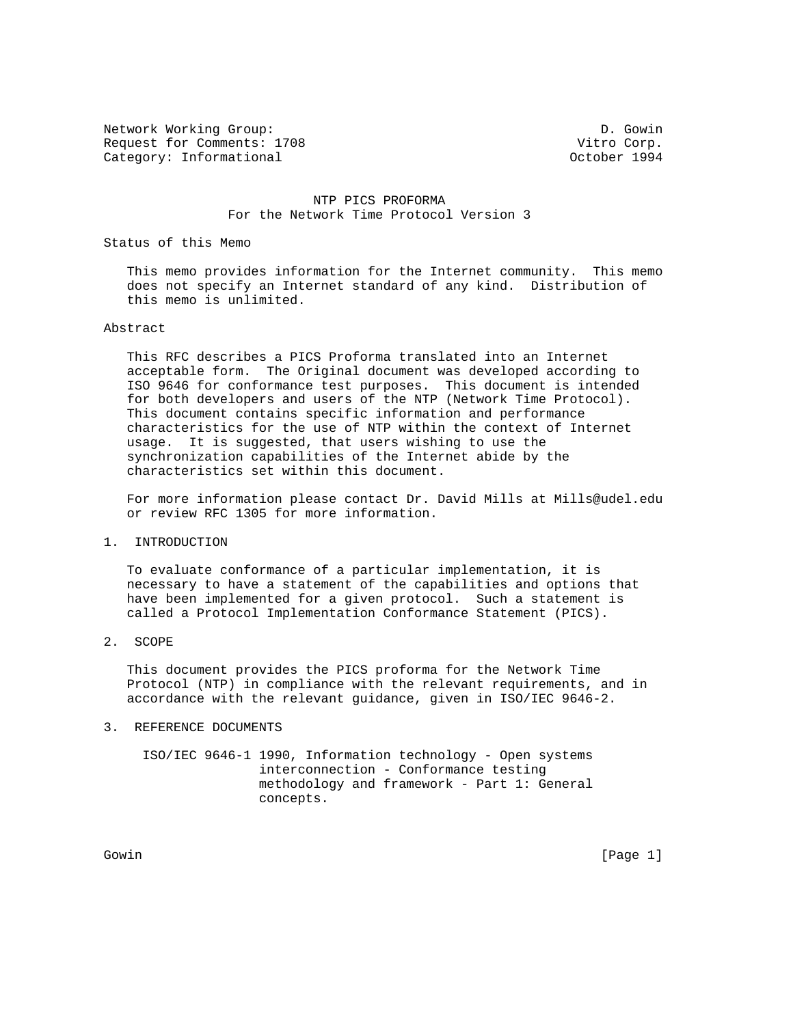Network Working Group: D. Gowin Request for Comments: 1708<br>Category: Informational example: 1994 Category: Informational

#### NTP PICS PROFORMA For the Network Time Protocol Version 3

Status of this Memo

 This memo provides information for the Internet community. This memo does not specify an Internet standard of any kind. Distribution of this memo is unlimited.

#### Abstract

 This RFC describes a PICS Proforma translated into an Internet acceptable form. The Original document was developed according to ISO 9646 for conformance test purposes. This document is intended for both developers and users of the NTP (Network Time Protocol). This document contains specific information and performance characteristics for the use of NTP within the context of Internet usage. It is suggested, that users wishing to use the synchronization capabilities of the Internet abide by the characteristics set within this document.

 For more information please contact Dr. David Mills at Mills@udel.edu or review RFC 1305 for more information.

1. INTRODUCTION

 To evaluate conformance of a particular implementation, it is necessary to have a statement of the capabilities and options that have been implemented for a given protocol. Such a statement is called a Protocol Implementation Conformance Statement (PICS).

2. SCOPE

 This document provides the PICS proforma for the Network Time Protocol (NTP) in compliance with the relevant requirements, and in accordance with the relevant guidance, given in ISO/IEC 9646-2.

#### 3. REFERENCE DOCUMENTS

 ISO/IEC 9646-1 1990, Information technology - Open systems interconnection - Conformance testing methodology and framework - Part 1: General concepts.

Gowin [Page 1] Some Communication of the communication of the communication of the communication of the communication of the communication of the communication of the communication of the communication of the communication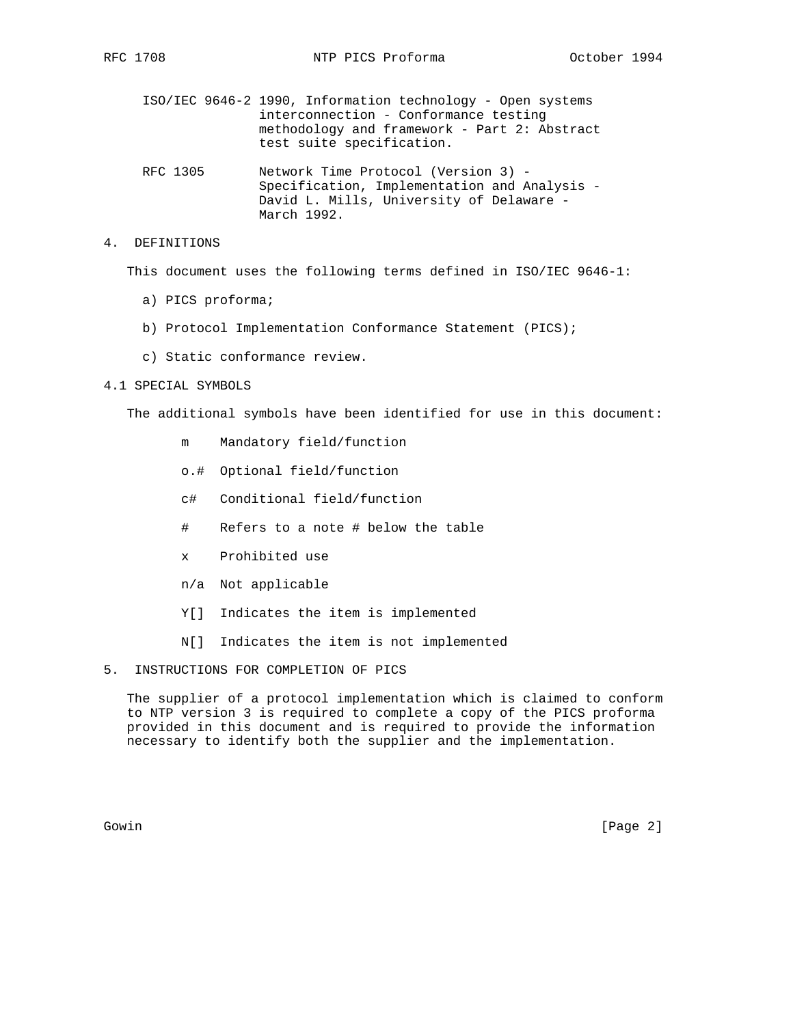ISO/IEC 9646-2 1990, Information technology - Open systems interconnection - Conformance testing methodology and framework - Part 2: Abstract test suite specification.

 RFC 1305 Network Time Protocol (Version 3) - Specification, Implementation and Analysis - David L. Mills, University of Delaware - March 1992.

4. DEFINITIONS

This document uses the following terms defined in ISO/IEC 9646-1:

- a) PICS proforma;
- b) Protocol Implementation Conformance Statement (PICS);
- c) Static conformance review.

#### 4.1 SPECIAL SYMBOLS

The additional symbols have been identified for use in this document:

- m Mandatory field/function
- o.# Optional field/function
- c# Conditional field/function
- # Refers to a note # below the table
- x Prohibited use
- n/a Not applicable
- Y[] Indicates the item is implemented
- N[] Indicates the item is not implemented
- 5. INSTRUCTIONS FOR COMPLETION OF PICS

 The supplier of a protocol implementation which is claimed to conform to NTP version 3 is required to complete a copy of the PICS proforma provided in this document and is required to provide the information necessary to identify both the supplier and the implementation.

Gowin [Page 2]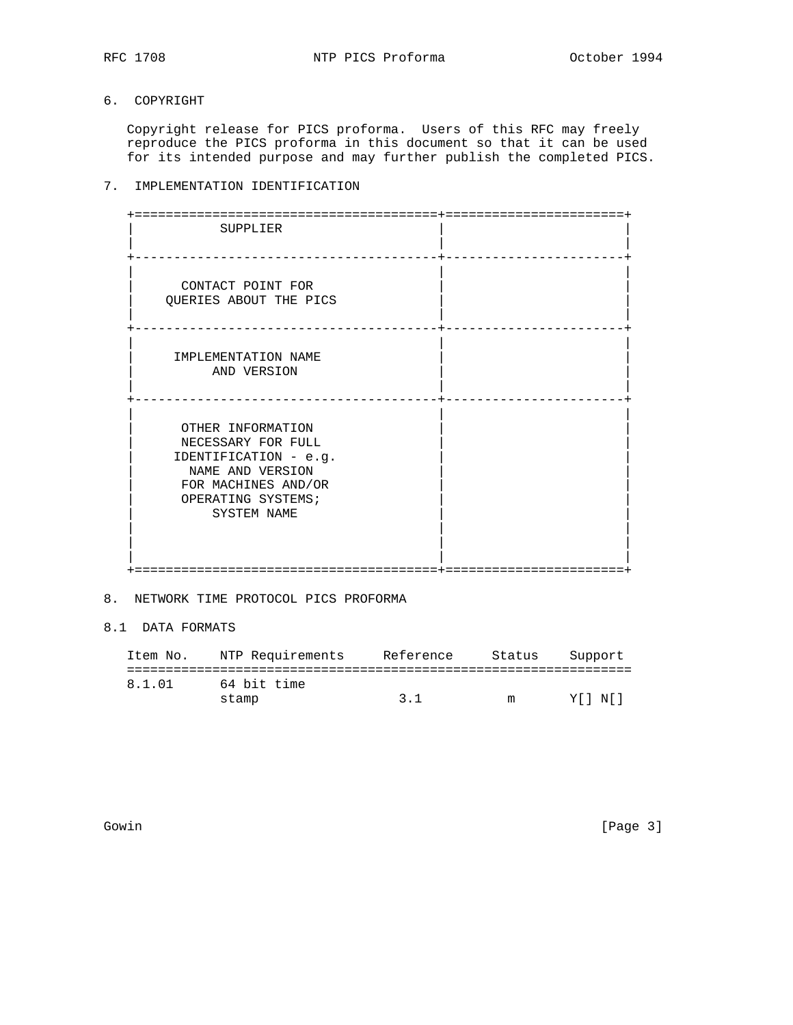# 6. COPYRIGHT

 Copyright release for PICS proforma. Users of this RFC may freely reproduce the PICS proforma in this document so that it can be used for its intended purpose and may further publish the completed PICS.

# 7. IMPLEMENTATION IDENTIFICATION

| SUPPLIER                                                                                                                                         |  |
|--------------------------------------------------------------------------------------------------------------------------------------------------|--|
| CONTACT POINT FOR<br>QUERIES ABOUT THE PICS                                                                                                      |  |
| IMPLEMENTATION NAME<br>AND VERSION                                                                                                               |  |
| OTHER INFORMATION<br>NECESSARY FOR FULL<br>IDENTIFICATION - e.g.<br>NAME AND VERSION<br>FOR MACHINES AND/OR<br>OPERATING SYSTEMS;<br>SYSTEM NAME |  |

#### 8. NETWORK TIME PROTOCOL PICS PROFORMA

8.1 DATA FORMATS

| Item No. | NTP Requirements | Reference          | Status | Support |
|----------|------------------|--------------------|--------|---------|
|          |                  |                    |        |         |
| 8.1.01   | 64 bit time      |                    |        |         |
|          | stamp            | $\overline{3}$ . 1 | m      | YII NII |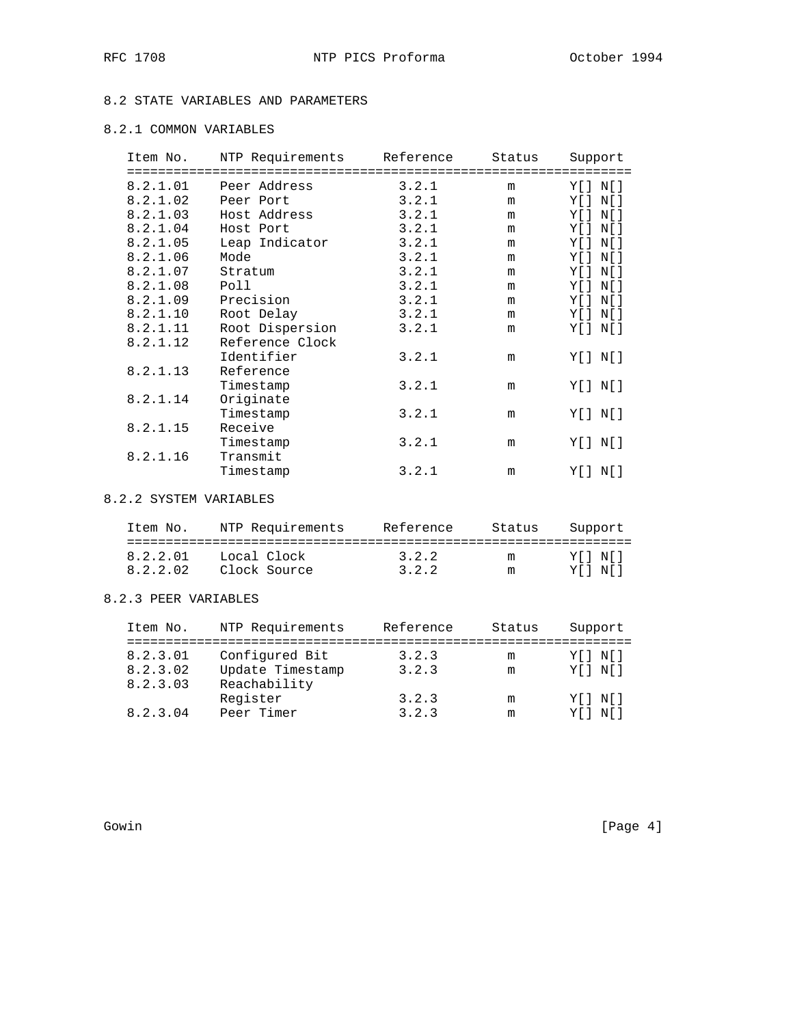# 8.2 STATE VARIABLES AND PARAMETERS

# 8.2.1 COMMON VARIABLES

| Item No. | NTP Requirements | Reference | Status | Support   |
|----------|------------------|-----------|--------|-----------|
| 8.2.1.01 | Peer Address     | 3.2.1     | m      | Y[ ] N[ ] |
| 8.2.1.02 | Peer Port        | 3.2.1     | m      | Y[ ] N[ ] |
| 8.2.1.03 | Host Address     | 3.2.1     | m      | Y[ ] N[ ] |
| 8.2.1.04 | Host Port        | 3.2.1     | m      | Y[ ] N[ ] |
| 8.2.1.05 | Leap Indicator   | 3.2.1     | m      | Y[ ] N[ ] |
| 8.2.1.06 | Mode             | 3.2.1     | m      | Y[ ] N[ ] |
| 8.2.1.07 | Stratum          | 3.2.1     | m      | Y[ ] N[ ] |
| 8.2.1.08 | Poll             | 3.2.1     | m      | Y[ ] N[ ] |
| 8.2.1.09 | Precision        | 3.2.1     | m      | Y[] N[]   |
| 8.2.1.10 | Root Delay       | 3.2.1     | m      | Y[ ] N[ ] |
| 8.2.1.11 | Root Dispersion  | 3.2.1     | m      | Y[] N[]   |
| 8.2.1.12 | Reference Clock  |           |        |           |
|          | Identifier       | 3.2.1     | m      | Y[ ] N[ ] |
| 8.2.1.13 | Reference        |           |        |           |
|          | Timestamp        | 3.2.1     | m      | Y[ ] N[ ] |
| 8.2.1.14 | Originate        |           |        |           |
|          | Timestamp        | 3.2.1     | m      | Y[ ] N[ ] |
| 8.2.1.15 | Receive          |           |        |           |
|          | Timestamp        | 3.2.1     | m      | Y[ ] N[ ] |
| 8.2.1.16 | Transmit         |           |        |           |
|          | Timestamp        | 3.2.1     | m      | Y[] N[]   |

### 8.2.2 SYSTEM VARIABLES

| Item No. | NTP Requirements | Reference | Status | Support |
|----------|------------------|-----------|--------|---------|
|          |                  |           |        |         |
| 8.2.2.01 | Local Clock      | 3.2.2     | m      | YII NII |
| 8.2.2.02 | Clock Source     | 3.2.2     | m      | YII NII |

## 8.2.3 PEER VARIABLES

| Item No. | NTP Requirements | Reference | Status | Support     |
|----------|------------------|-----------|--------|-------------|
|          |                  |           |        |             |
| 8.2.3.01 | Configured Bit   | 3.2.3     | m      | Y [ ] N [ ] |
| 8.2.3.02 | Update Timestamp | 3.2.3     | m      | Y [ ] N [ ] |
| 8.2.3.03 | Reachability     |           |        |             |
|          | Register         | 3.2.3     | m      | Y [ ] N [ ] |
| 8.2.3.04 | Peer Timer       | 3.2.3     | m      | Y [ ] N [ ] |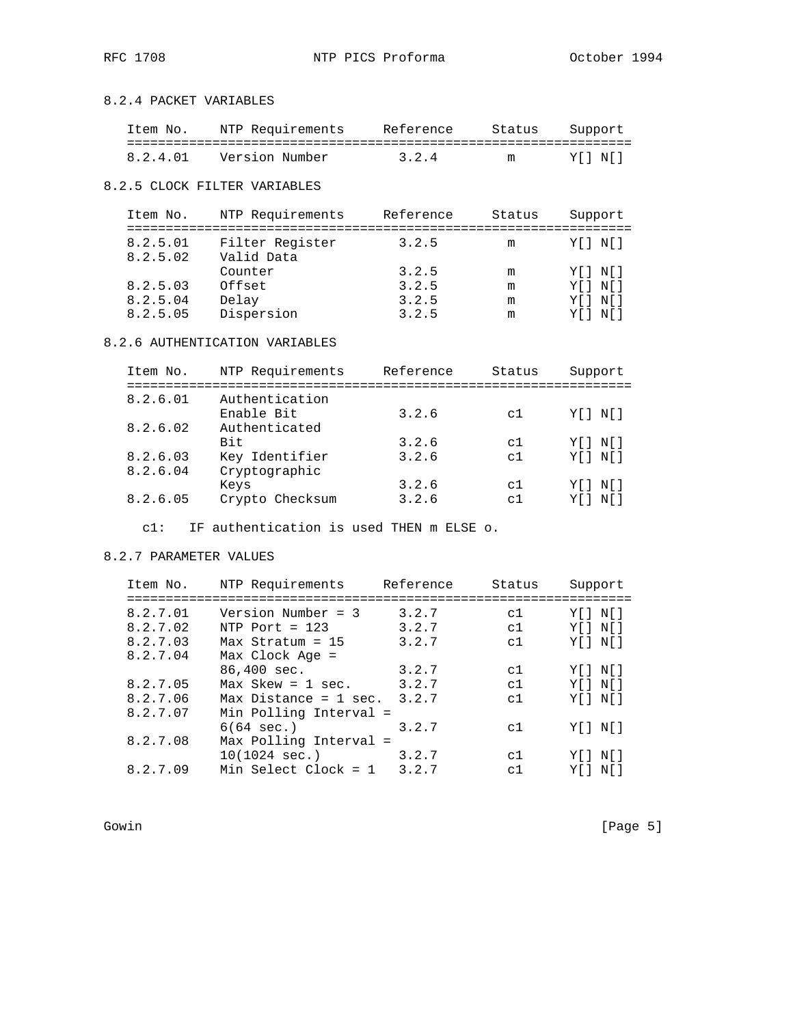## 8.2.4 PACKET VARIABLES

| Item No. | NTP Requirements | Reference | Status | Support |
|----------|------------------|-----------|--------|---------|
|          |                  |           |        |         |
| 8.2.4.01 | Version Number   | 3.2.4     | m      | YII NII |

### 8.2.5 CLOCK FILTER VARIABLES

| Item No.             | NTP Requirements              | Reference | Status | Support     |
|----------------------|-------------------------------|-----------|--------|-------------|
| 8.2.5.01<br>8.2.5.02 | Filter Register<br>Valid Data | 3.2.5     | m      | Y [ ] N [ ] |
|                      | Counter                       | 3.2.5     | m      | Y [ ] N [ ] |
| 8.2.5.03             | Offset                        | 3.2.5     | m      | Y [ ] N [ ] |
| 8.2.5.04             | Delay                         | 3.2.5     | m      | Y [ ] N [ ] |
| 8.2.5.05             | Dispersion                    | 3.2.5     | m      | Y I N I     |

## 8.2.6 AUTHENTICATION VARIABLES

| Item No. | NTP Requirements            | Reference | Status         | Support     |
|----------|-----------------------------|-----------|----------------|-------------|
| 8.2.6.01 | Authentication              |           |                |             |
| 8.2.6.02 | Enable Bit<br>Authenticated | 3.2.6     | c1             | Y [ ] N [ ] |
|          | Bit.                        | 3.2.6     | C <sub>1</sub> | Y [ ] N [ ] |
| 8.2.6.03 | Key Identifier              | 3.2.6     | c1             | Y [ ] N [ ] |
| 8.2.6.04 | Cryptographic               | 3.2.6     | c1             | Y [ ] N [ ] |
| 8.2.6.05 | Keys<br>Crypto Checksum     | 3.2.6     | $\sim$ 1       | Y I N I     |
|          |                             |           |                |             |

c1: IF authentication is used THEN m ELSE o.

### 8.2.7 PARAMETER VALUES

| Item No. | NTP Requirements        | Reference | Status | Support     |
|----------|-------------------------|-----------|--------|-------------|
| 8.2.7.01 | Version Number = $3$    | 3.2.7     | c1     | Y [ ] N [ ] |
| 8.2.7.02 | NTP Port = $123$        | 3.2.7     | c1     | Y [ ] N [ ] |
| 8.2.7.03 | Max Stratum = $15$      | 3.2.7     | c1     | Y [ ] N [ ] |
| 8.2.7.04 | Max Clock Age =         |           |        |             |
|          | 86,400 sec.             | 3.2.7     | c1     | YII NII     |
| 8.2.7.05 | $Max$ Skew = 1 sec.     | 3.2.7     | c1     | Y [ ] N [ ] |
| 8.2.7.06 | $Max$ Distance = 1 sec. | 3.2.7     | c1     | Y [ ] N [ ] |
| 8.2.7.07 | Min Polling Interval =  |           |        |             |
|          | $6(64 \text{ sec.})$    | 3.2.7     | c1     | Y II N II   |
| 8.2.7.08 | Max Polling Interval =  |           |        |             |
|          | $10(1024 \text{ sec.})$ | 3.2.7     | c1     | Y II N II   |
| 8.2.7.09 | Min Select Clock = 1    | 3.2.7     | c1     | Y [ ] N [ ] |
|          |                         |           |        |             |

Gowin [Page 5]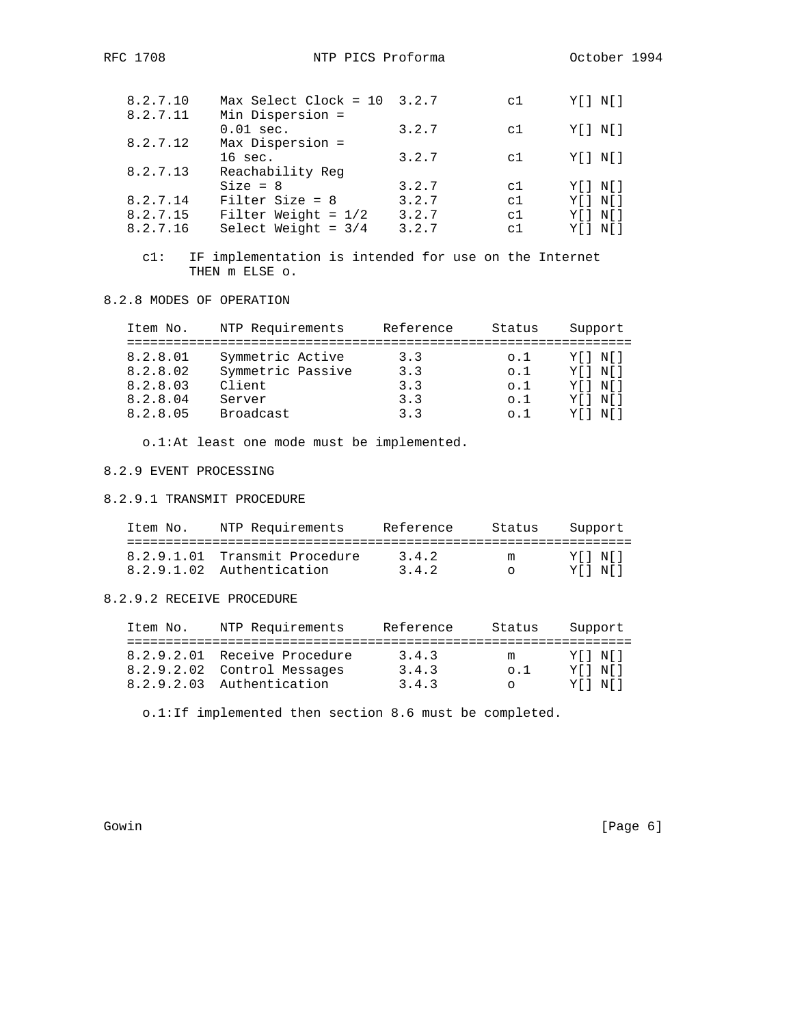|  | ドヒレ | 08<br>7 |
|--|-----|---------|
|--|-----|---------|

| 8.2.7.10 | $Max$ Select Clock = 10 | 3.2.7 | c1             | Y [ ] N [ ]   |
|----------|-------------------------|-------|----------------|---------------|
| 8.2.7.11 | Min Dispersion =        |       |                |               |
|          | $0.01$ sec.             | 3.2.7 | c1             | $Y[$ $N[$ $]$ |
| 8.2.7.12 | Max Dispersion =        |       |                |               |
|          | $16 \text{ sec.}$       | 3.2.7 | c1             | $Y[$ $N[$ $]$ |
| 8.2.7.13 | Reachability Req        |       |                |               |
|          | $Size = 8$              | 3.2.7 | c1             | Y [ ] N [ ]   |
| 8.2.7.14 | Filter Size = $8$       | 3.2.7 | c1             | $Y[$ $N[$ $]$ |
| 8.2.7.15 | Filter Weight = $1/2$   | 3.2.7 | C <sub>1</sub> | $Y[$ $N[$ $]$ |
| 8.2.7.16 | Select Weight = $3/4$   | 3.2.7 | C <sub>1</sub> | Y[] N[]       |

 c1: IF implementation is intended for use on the Internet THEN m ELSE o.

## 8.2.8 MODES OF OPERATION

| Item No.                                     | NTP Requirements                                          | Reference                | Status                                        | Support                                                  |
|----------------------------------------------|-----------------------------------------------------------|--------------------------|-----------------------------------------------|----------------------------------------------------------|
| 8.2.8.01<br>8.2.8.02<br>8.2.8.03<br>8.2.8.04 | Symmetric Active<br>Symmetric Passive<br>Client<br>Server | 3.3<br>3.3<br>3.3<br>3.3 | $\circ$ .1<br>$\circ$ .1<br>$\circ$ .1<br>0.1 | Y [ ] N [ ]<br>Y [ ] N [ ]<br>Y [ ] N [ ]<br>Y [ ] N [ ] |
| 8.2.8.05                                     | Broadcast                                                 | 33                       | 0.1                                           | Y IN I                                                   |

o.1:At least one mode must be implemented.

# 8.2.9 EVENT PROCESSING

#### 8.2.9.1 TRANSMIT PROCEDURE

| Item No. | NTP Requirements              | Reference | Status | Support |
|----------|-------------------------------|-----------|--------|---------|
|          |                               |           |        |         |
|          | 8.2.9.1.01 Transmit Procedure | 3.4.2     | m      | YII NII |
|          | 8.2.9.1.02 Authentication     | 3.4.2     | $\cap$ | YINI    |

## 8.2.9.2 RECEIVE PROCEDURE

| Item No. | NTP Requirements                                            | Reference      | Status           | Support            |
|----------|-------------------------------------------------------------|----------------|------------------|--------------------|
|          | 8.2.9.2.01 Receive Procedure<br>8.2.9.2.02 Control Messages | 3.4.3<br>3.4.3 | m<br>$\circ$ . 1 | YII NII<br>YII NII |
|          | 8.2.9.2.03 Authentication                                   | 3.4.3          | $\cap$           | YII NII            |

o.1:If implemented then section 8.6 must be completed.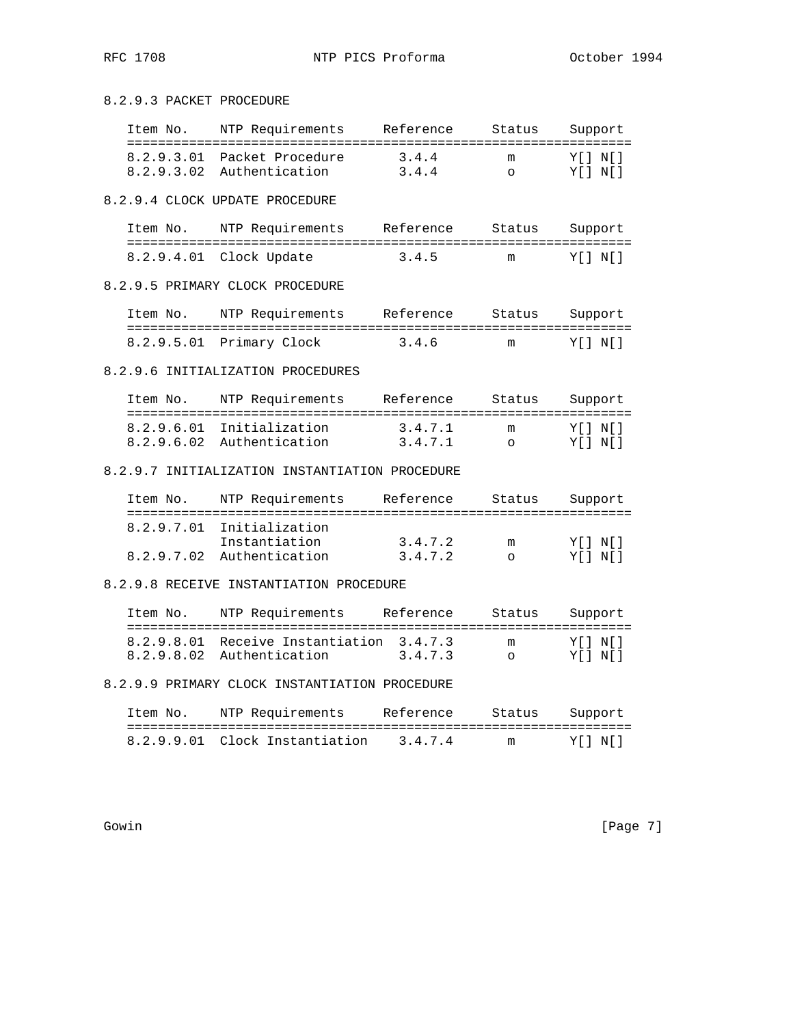8.2.9.3 PACKET PROCEDURE

| Item No. | NTP Requirements            | Reference | Status | Support |
|----------|-----------------------------|-----------|--------|---------|
|          | 8.2.9.3.01 Packet Procedure | 3.4.4     | m      | YIINII  |
|          | 8.2.9.3.02 Authentication   | 3.4.4     | $\cap$ | YII NII |

8.2.9.4 CLOCK UPDATE PROCEDURE

| Item No. | NTP Requirements        | Reference | Status | Support |
|----------|-------------------------|-----------|--------|---------|
|          |                         |           |        |         |
|          | 8.2.9.4.01 Clock Update | 3.4.5     | m      | YII NI  |

## 8.2.9.5 PRIMARY CLOCK PROCEDURE

| Item No. | NTP Requirements         | Reference | Status | Support |
|----------|--------------------------|-----------|--------|---------|
|          |                          |           |        |         |
|          | 8.2.9.5.01 Primary Clock | 3.4.6     | m      | YII NI  |

#### 8.2.9.6 INITIALIZATION PROCEDURES

| Item No. | NTP Requirements          | Reference | Status | Support |
|----------|---------------------------|-----------|--------|---------|
|          |                           |           |        |         |
|          | 8.2.9.6.01 Initialization | 3.4.7.1   | m      | YIINII  |
|          | 8.2.9.6.02 Authentication | 3.4.7.1   |        | YII NII |

# 8.2.9.7 INITIALIZATION INSTANTIATION PROCEDURE

| Item No. | NTP Requirements          | Reference | Status | Support |
|----------|---------------------------|-----------|--------|---------|
|          | 8.2.9.7.01 Initialization |           |        |         |
|          | Instantiation             | 3.4.7.2   | m      | YII NII |
|          | 8.2.9.7.02 Authentication | 3.4.7.2   | $\cap$ | YIINII  |

#### 8.2.9.8 RECEIVE INSTANTIATION PROCEDURE

| Item No. | NTP Requirements                                                      | Reference | Status | Support            |
|----------|-----------------------------------------------------------------------|-----------|--------|--------------------|
|          | 8.2.9.8.01 Receive Instantiation 3.4.7.3<br>8.2.9.8.02 Authentication | 3.4.7.3   | m      | YII NII<br>YII NII |

# 8.2.9.9 PRIMARY CLOCK INSTANTIATION PROCEDURE

| Item No. | NTP Requirements               | Reference | Status | Support |
|----------|--------------------------------|-----------|--------|---------|
|          |                                |           |        |         |
|          | 8.2.9.9.01 Clock Instantiation | 3.4.7.4   | m      | YINI    |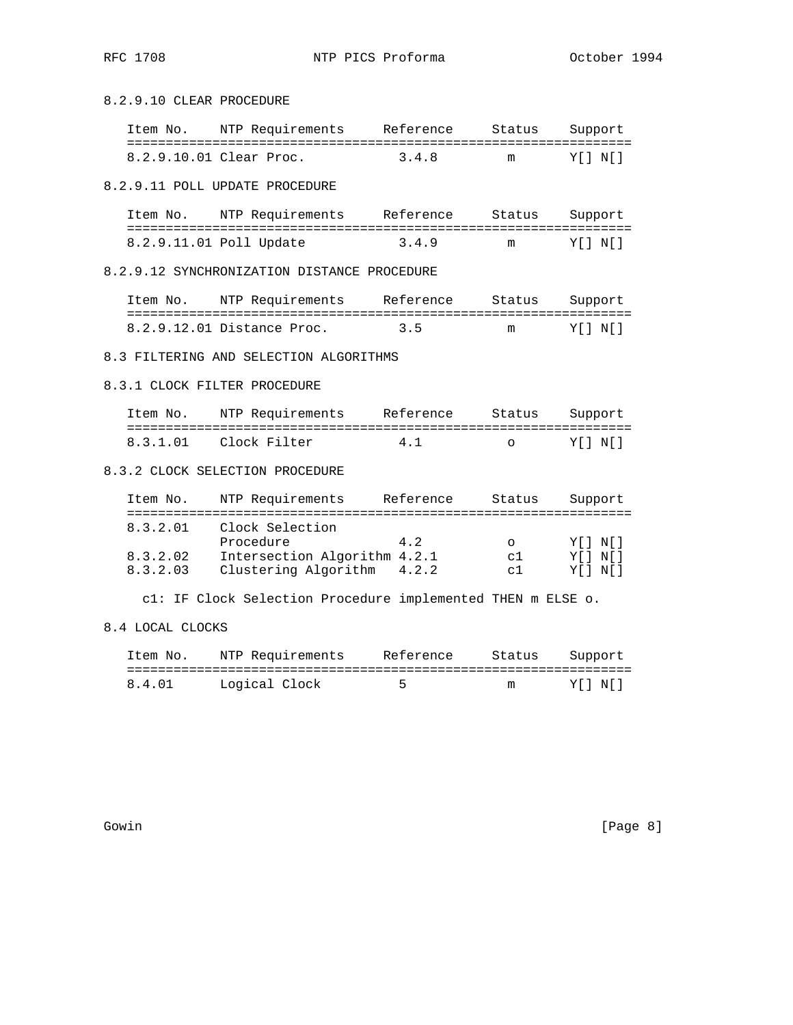8.2.9.10 CLEAR PROCEDURE

| Item No. | NTP Requirements        | Reference | Status | Support |
|----------|-------------------------|-----------|--------|---------|
|          |                         |           |        |         |
|          | 8.2.9.10.01 Clear Proc. | 3.4.8     | m      | YII NII |

8.2.9.11 POLL UPDATE PROCEDURE

| Item No. | NTP Requirements        | Reference | Status | Support |
|----------|-------------------------|-----------|--------|---------|
|          |                         |           |        |         |
|          | 8.2.9.11.01 Poll Update | 3.4.9     | m      | YIINI.  |

8.2.9.12 SYNCHRONIZATION DISTANCE PROCEDURE

| Item No. | NTP Requirements           | Reference | Status | Support |
|----------|----------------------------|-----------|--------|---------|
|          |                            |           |        |         |
|          | 8.2.9.12.01 Distance Proc. | 35        | m      | YINI    |

### 8.3 FILTERING AND SELECTION ALGORITHMS

#### 8.3.1 CLOCK FILTER PROCEDURE

| Item No. | NTP Requirements | Reference | Status         | Support |
|----------|------------------|-----------|----------------|---------|
| 8.3.1.01 | Clock Filter     | 4.1       | $\overline{a}$ | YIINI.  |

# 8.3.2 CLOCK SELECTION PROCEDURE

| Item No. | NTP Requirements             | Reference | Status   | Support |
|----------|------------------------------|-----------|----------|---------|
| 8.3.2.01 | Clock Selection              |           |          |         |
|          | Procedure                    | 4 2       | ∩        | YII NII |
| 8.3.2.02 | Intersection Algorithm 4.2.1 |           | $\sim$ 1 | YII NII |
| 8.3.2.03 | Clustering Algorithm         | 4.2.2     | $\sim$ 1 | YII NII |

c1: IF Clock Selection Procedure implemented THEN m ELSE o.

# 8.4 LOCAL CLOCKS

| Item No. | NTP Requirements | Reference | Status |         | Support |
|----------|------------------|-----------|--------|---------|---------|
|          |                  |           |        |         |         |
| 8.4.01   | Logical Clock    |           | m      | YII NII |         |

Gowin [Page 8]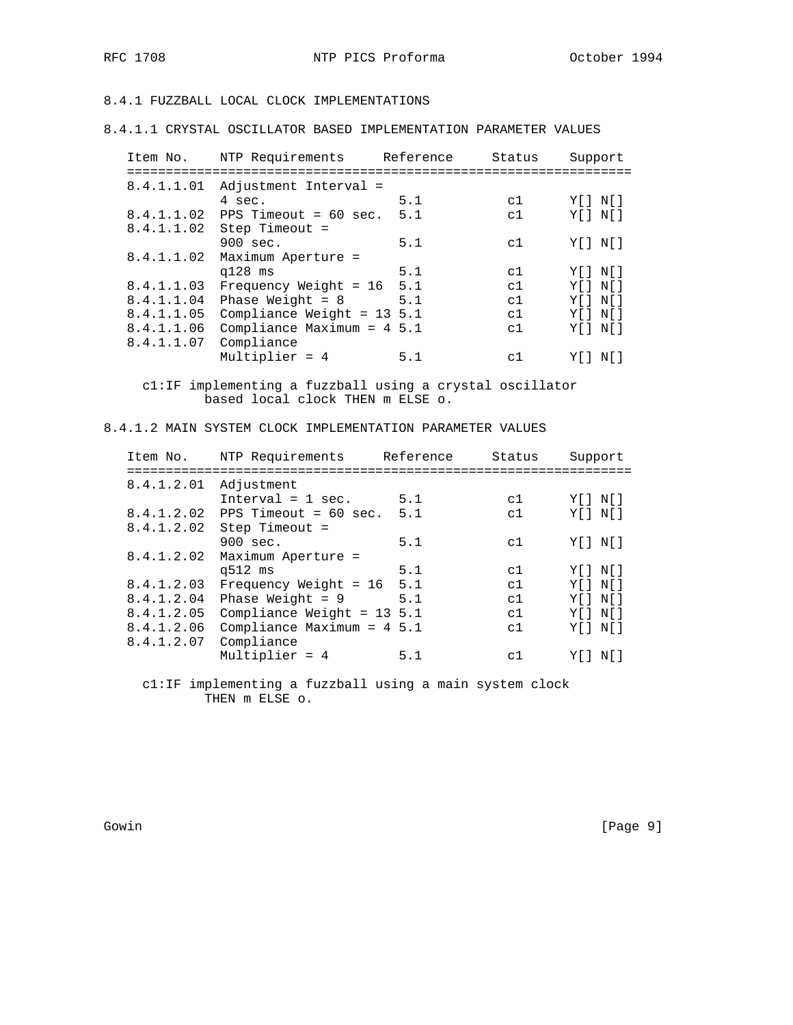8.4.1 FUZZBALL LOCAL CLOCK IMPLEMENTATIONS

8.4.1.1 CRYSTAL OSCILLATOR BASED IMPLEMENTATION PARAMETER VALUES

| Item No.   | NTP Requirements              | Reference | Status | Support     |
|------------|-------------------------------|-----------|--------|-------------|
| 8.4.1.1.01 | Adjustment Interval =         |           |        |             |
|            | 4 sec.                        | 5.1       | c1     | Y II N II   |
| 8.4.1.1.02 | PPS Timeout = $60$ sec.       | 5.1       | c1     | Y I N I     |
| 8.4.1.1.02 | Step Timeout $=$              |           |        |             |
|            | 900 sec.                      | 5.1       | c1     | Y[] N[]     |
| 8.4.1.1.02 | Maximum Aperture =            |           |        |             |
|            | $q128$ ms                     | 5.1       | c1     | Y [ ] N [ ] |
| 8.4.1.1.03 | Frequency Weight = $16$       | 5.1       | c1     | Y [ ] N [ ] |
| 8.4.1.1.04 | Phase Weight = $8$            | 5.1       | c1     | Y [ ] N [ ] |
| 8.4.1.1.05 | Compliance Weight = $13\,5.1$ |           | c1     | Y [ ] N [ ] |
| 8.4.1.1.06 | Compliance Maximum = $4\,5.1$ |           | c1     | Y [ ] N [ ] |
| 8.4.1.1.07 | Compliance                    |           |        |             |
|            | Multiplier = $4$              | 5.1       | сl     | YII<br>NII  |
|            |                               |           |        |             |

 c1:IF implementing a fuzzball using a crystal oscillator based local clock THEN m ELSE o.

8.4.1.2 MAIN SYSTEM CLOCK IMPLEMENTATION PARAMETER VALUES

| Item No.   | NTP Requirements              | Reference | Status | Support     |
|------------|-------------------------------|-----------|--------|-------------|
| 8.4.1.2.01 | Adjustment                    |           |        |             |
|            | $Interval = 1 sec.$           | 5.1       | c1     | Y [ ] N [ ] |
| 8.4.1.2.02 | PPS Timeout = $60$ sec.       | 5.1       | c1     | Y [ ] N [ ] |
| 8.4.1.2.02 | Step Timeout $=$              |           |        |             |
|            | $900 \text{ sec.}$            | 5.1       | c1     | Y II N II   |
| 8.4.1.2.02 | Maximum Aperture =            |           |        |             |
|            | q512 ms                       | 5.1       | c1     | Y [ ] N [ ] |
| 8.4.1.2.03 | Frequency Weight = $16$       | 5.1       | c1     | Y [ ] N [ ] |
| 8.4.1.2.04 | Phase Weight = $9$            | 5.1       | c1     | Y [ ] N [ ] |
| 8.4.1.2.05 | Compliance Weight = $13\,5.1$ |           | c1     | Y [ ] N [ ] |
| 8.4.1.2.06 | Compliance Maximum = $4\,5.1$ |           | c1     | Y [ ] N [ ] |
| 8.4.1.2.07 | Compliance                    |           |        |             |
|            | Multiplier = $4$              | 5.1       | c1     | Y [ ] N [ ] |
|            |                               |           |        |             |

 c1:IF implementing a fuzzball using a main system clock THEN m ELSE o.

Gowin [Page 9]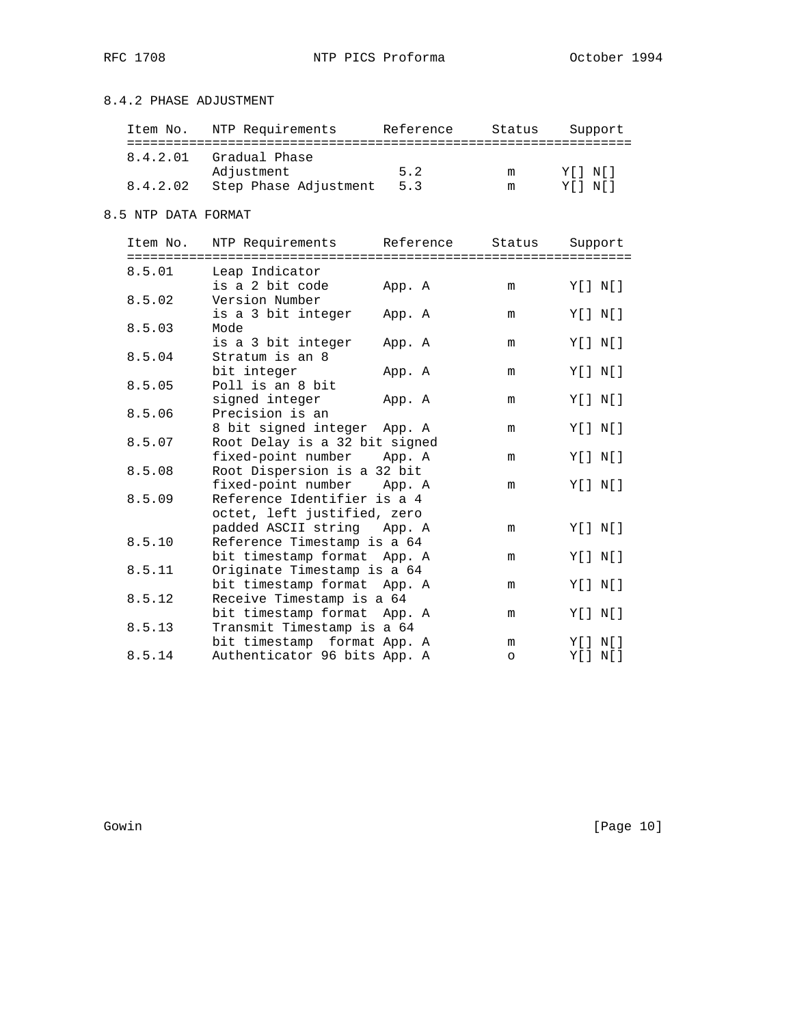# 8.4.2 PHASE ADJUSTMENT

| Item No. | NTP Requirements      | Reference | Status | Support     |
|----------|-----------------------|-----------|--------|-------------|
| 8.4.2.01 | Gradual Phase         |           |        |             |
|          | Adjustment            | 5.2       | m      | YII NII     |
| 8.4.2.02 | Step Phase Adjustment | 5.3       | m      | Y [ ] N [ ] |

# 8.5 NTP DATA FORMAT

| Item No.              | NTP Requirements                                         | Reference                           | Status  | Support       |
|-----------------------|----------------------------------------------------------|-------------------------------------|---------|---------------|
| ===========<br>8.5.01 | Leap Indicator                                           | =================================== |         |               |
|                       | is a 2 bit code                                          | App. A                              | m       | Y[ ] N[ ]     |
| 8.5.02                | Version Number                                           |                                     |         |               |
|                       | is a 3 bit integer                                       | App. A                              | m       | Y[] N[]       |
| 8.5.03                | Mode                                                     |                                     |         |               |
|                       | is a 3 bit integer                                       | App. A                              | m       | $Y[$ $N[$ $]$ |
| 8.5.04                | Stratum is an 8                                          |                                     |         |               |
|                       | bit integer                                              | App. A                              | m       | Y[] N[]       |
| 8.5.05                | Poll is an 8 bit<br>signed integer                       | App. A                              | m       | Y[ ] N[ ]     |
| 8.5.06                | Precision is an                                          |                                     |         |               |
|                       | 8 bit signed integer App. A                              |                                     | m       | Y[ ] N[ ]     |
| 8.5.07                | Root Delay is a 32 bit signed                            |                                     |         |               |
|                       | fixed-point number                                       | App. A                              | m       | Y[ ] N[ ]     |
| 8.5.08                | Root Dispersion is a 32 bit                              |                                     |         |               |
|                       | fixed-point number                                       | App. A                              | m       | Y[ ] N[ ]     |
| 8.5.09                | Reference Identifier is a 4                              |                                     |         |               |
|                       | octet, left justified, zero                              |                                     |         |               |
|                       | padded ASCII string App. A                               |                                     | m       | Y[ ] N[ ]     |
| 8.5.10                | Reference Timestamp is a 64                              |                                     |         |               |
|                       | bit timestamp format App. A                              |                                     | m       | Y[ ] N[ ]     |
| 8.5.11                | Originate Timestamp is a 64                              |                                     |         |               |
| 8.5.12                | bit timestamp format App. A<br>Receive Timestamp is a 64 |                                     | m       | Y[ ] N[ ]     |
|                       | bit timestamp format App. A                              |                                     | m       | Y[ ] N[ ]     |
| 8.5.13                | Transmit Timestamp is a 64                               |                                     |         |               |
|                       | bit timestamp format App. A                              |                                     | m       | Y [ ] N [ ]   |
| 8.5.14                | Authenticator 96 bits App. A                             |                                     | $\circ$ | Y[ ] N[ ]     |

Gowin [Page 10]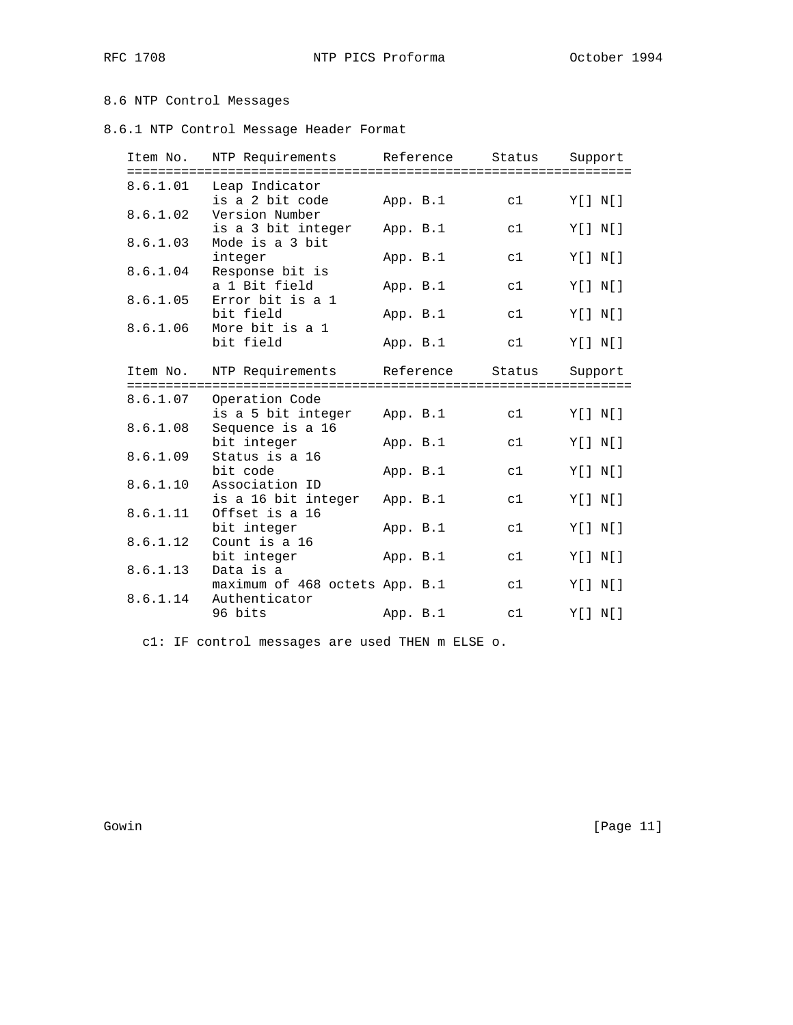# 8.6 NTP Control Messages

8.6.1 NTP Control Message Header Format

| Item No. | NTP Requirements                       |          | Reference | Status | Support       |
|----------|----------------------------------------|----------|-----------|--------|---------------|
| 8.6.1.01 | Leap Indicator<br>is a 2 bit code      | App. B.1 |           | c1     | Y[ ] N[ ]     |
| 8.6.1.02 | Version Number<br>is a 3 bit integer   | App. B.1 |           | c1     | Y[ ] N[ ]     |
| 8.6.1.03 | Mode is a 3 bit                        |          |           |        |               |
| 8.6.1.04 | integer<br>Response bit is             | App. B.1 |           | c1     | Y[ ] N[ ]     |
| 8.6.1.05 | a 1 Bit field<br>Error bit is a 1      | App. B.1 |           | c1     | Y[ ] N[ ]     |
| 8.6.1.06 | bit field<br>More bit is a 1           | App. B.1 |           | c1     | Y[ ] N[ ]     |
|          | bit field                              | App. B.1 |           | c1     | Y[ ] N[ ]     |
| Item No. | NTP Requirements                       |          | Reference | Status | Support       |
| 8.6.1.07 | Operation Code                         |          |           | c1     | Y[] N[]       |
| 8.6.1.08 | is a 5 bit integer<br>Sequence is a 16 | App. B.1 |           |        |               |
| 8.6.1.09 | bit integer<br>Status is a 16          | App. B.1 |           | c1     | Y[ ] N[ ]     |
| 8.6.1.10 | bit code<br>Association ID             | App. B.1 |           | c1     | Y[ ] N[ ]     |
| 8.6.1.11 | is a 16 bit integer<br>Offset is a 16  | App. B.1 |           | c1     | $Y[$ $N[$ $]$ |
| 8.6.1.12 | bit integer<br>Count is a 16           | App. B.1 |           | c1     | Y[ ] N[ ]     |
| 8.6.1.13 | bit integer<br>Data is a               | App. B.1 |           | c1     | Y[ ] N[ ]     |
|          | maximum of 468 octets App. B.1         |          |           | c1     | Y[ ] N[ ]     |
| 8.6.1.14 | Authenticator<br>96 bits               | App. B.1 |           | c1     | Y[ ] N[ ]     |
|          |                                        |          |           |        |               |

c1: IF control messages are used THEN m ELSE o.

Gowin [Page 11]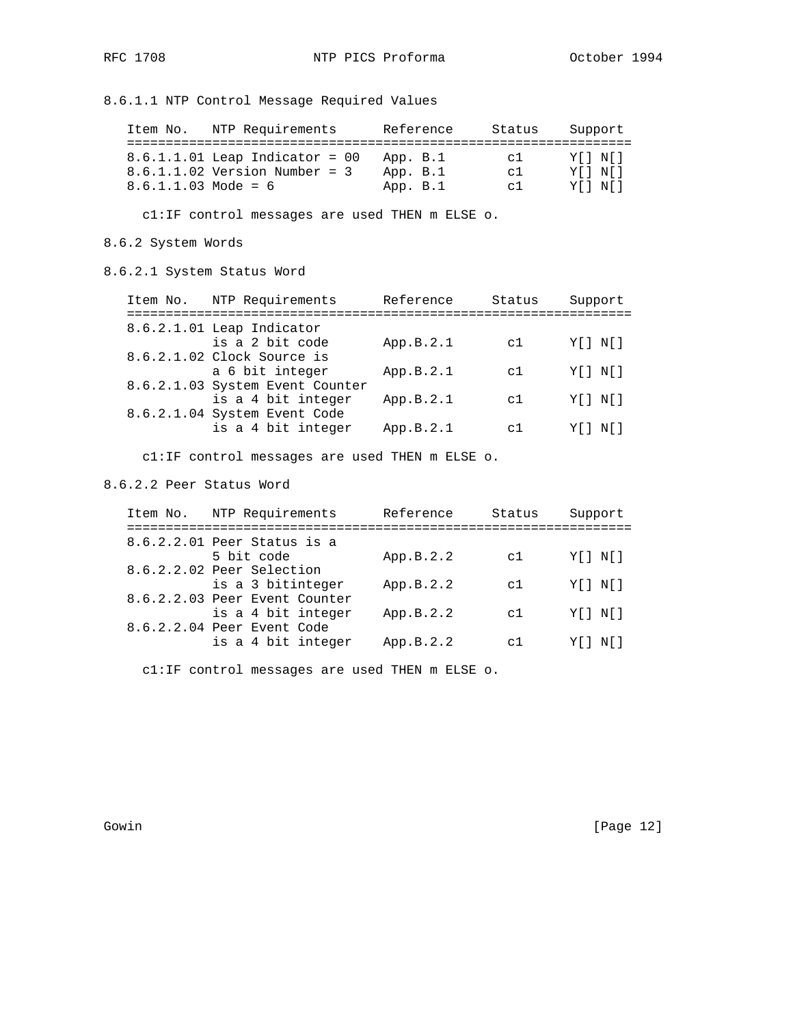8.6.1.1 NTP Control Message Required Values

| Item No.              | NTP Requirements                                                    |                      | Reference | Status                           | Support                |
|-----------------------|---------------------------------------------------------------------|----------------------|-----------|----------------------------------|------------------------|
|                       | $8.6.1.1.01$ Leap Indicator = 00<br>$8.6.1.1.02$ Version Number = 3 | App. B.1<br>App. B.1 |           | C <sup>1</sup><br>C <sup>1</sup> | Y [ ] N [ ]<br>YII NII |
| $8.6.1.1.03$ Mode = 6 |                                                                     | App. B.1             |           | C <sup>1</sup>                   | YII NII                |

c1:IF control messages are used THEN m ELSE o.

### 8.6.2 System Words

8.6.2.1 System Status Word

| Item No. | NTP Requirements                                   | Reference | Status   | Support     |
|----------|----------------------------------------------------|-----------|----------|-------------|
|          | 8.6.2.1.01 Leap Indicator                          |           |          |             |
|          | is a 2 bit code                                    | App.B.2.1 | c1       | Y [ ] N [ ] |
|          | 8.6.2.1.02 Clock Source is<br>a 6 bit integer      | App.B.2.1 | c1       | Y [ ] N [ ] |
|          | 8.6.2.1.03 System Event Counter                    |           |          |             |
|          | is a 4 bit integer                                 | App.B.2.1 | c1       | Y [ ] N [ ] |
|          | 8.6.2.1.04 System Event Code<br>is a 4 bit integer | App.B.2.1 | $\sim$ 1 | Y [ ] N [ ] |

c1:IF control messages are used THEN m ELSE o.

#### 8.6.2.2 Peer Status Word

| Item No. | NTP Requirements                                   | Reference | Status         | Support     |
|----------|----------------------------------------------------|-----------|----------------|-------------|
|          | 8.6.2.2.01 Peer Status is a                        |           |                |             |
|          | 5 bit code                                         | App.B.2.2 | c1             | Y [ ] N [ ] |
|          | 8.6.2.2.02 Peer Selection                          |           |                |             |
|          | is a 3 bitinteger<br>8.6.2.2.03 Peer Event Counter | App.B.2.2 | c1             | Y [ ] N [ ] |
|          | is a 4 bit integer                                 | App.B.2.2 | c1             | Y [ ] N [ ] |
|          | 8.6.2.2.04 Peer Event Code                         |           |                |             |
|          | is a 4 bit integer                                 | App.B.2.2 | C <sup>T</sup> | Y [ ] N [ ] |
|          |                                                    |           |                |             |

c1:IF control messages are used THEN m ELSE o.

Gowin [Page 12]